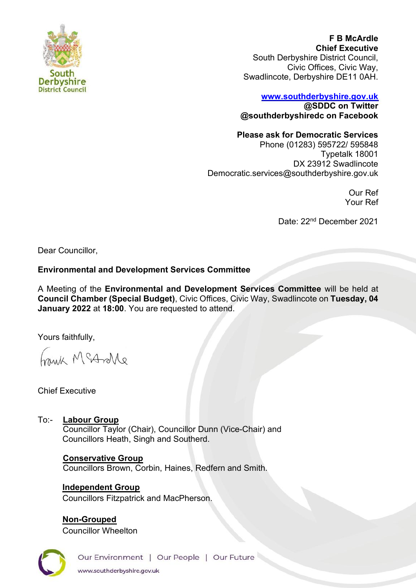

**F B McArdle Chief Executive** South Derbyshire District Council, Civic Offices, Civic Way, Swadlincote, Derbyshire DE11 0AH.

## **[www.southderbyshire.gov.uk](http://www.southderbyshire.gov.uk/) @SDDC on Twitter**

**@southderbyshiredc on Facebook**

## **Please ask for Democratic Services**

Phone (01283) 595722/ 595848 Typetalk 18001 DX 23912 Swadlincote Democratic.services@southderbyshire.gov.uk

> Our Ref Your Ref

Date: 22nd December 2021

Dear Councillor,

## **Environmental and Development Services Committee**

A Meeting of the **Environmental and Development Services Committee** will be held at **Council Chamber (Special Budget)**, Civic Offices, Civic Way, Swadlincote on **Tuesday, 04 January 2022** at **18:00**. You are requested to attend.

Yours faithfully,

Annak McAndre

Chief Executive

To:- **Labour Group** Councillor Taylor (Chair), Councillor Dunn (Vice-Chair) and Councillors Heath, Singh and Southerd.

# **Conservative Group**

Councillors Brown, Corbin, Haines, Redfern and Smith.

**Independent Group** Councillors Fitzpatrick and MacPherson.

**Non-Grouped** Councillor Wheelton



Our Environment | Our People | Our Future www.southderbyshire.gov.uk